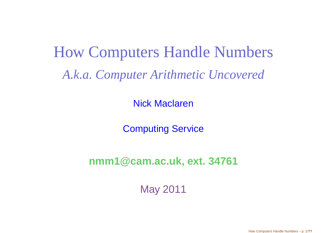# How Computers Handle Numbers*A.k.a. Computer Arithmetic Uncovered*

Nick Maclaren

Computing Service

**nmm1@cam.ac.uk, ext. <sup>34761</sup>**

May 2011

How Computers Handle Numbers – p. 1/**??**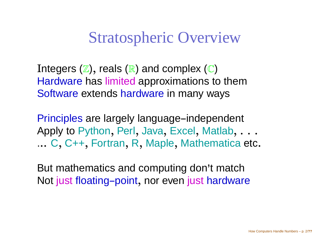Stratospheric Overview

Integers ( $\mathbb Z$ ), reals ( $\mathbb R$ ) and complex ( $\mathbb C$ ) Hardware has limited approximations to themSoftware extends hardware in many ways

Principles are largely language-independent Apply to Python , Perl , Java, Excel , Matlab, . . . ...C, C++, Fortran,R, Maple, Mathematica etc.

But mathematics and computing don'<sup>t</sup> matchNot just floating–point, nor even just hardware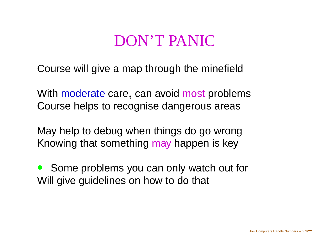## DON'T PANIC

Course will give <sup>a</sup> map through the minefield

With moderate care , can avoid most problems Course helps to recognise dangerous areas

May help to debug when things do go wrongKnowing that something <mark>may h</mark>appen is key

 $\bullet$  Some problems you can only watch out for Will give guidelines on how to do that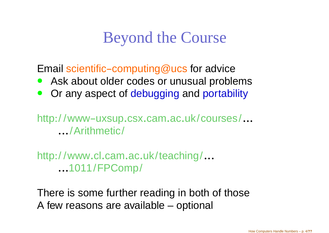### Beyond the Course

Email scientific-computing@ucs for advice

- Ask about older codes or unusual problems $\bullet$
- **Or any aspect of debugging and portability**  $\bullet$

http://www-uxsup.csx.cam.ac.uk/courses/... .../Arithmetic/

http:/ /www.cl.cam.ac.uk/teaching/......1011/FPComp/

There is some further reading in both of thoseA few reasons are available – optional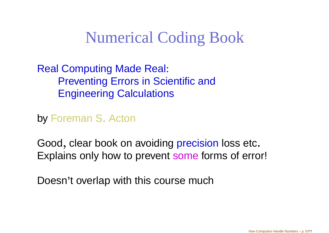## Numerical Coding Book

#### Real Computing Made Real: Preventing Errors in Scientific andEngineering Calculations

by Foreman <sup>S</sup>. Acton

Good, clear book on avoiding precision loss etc. Explains only how to prevent some forms of error!

Doesn'<sup>t</sup> overlap with this course much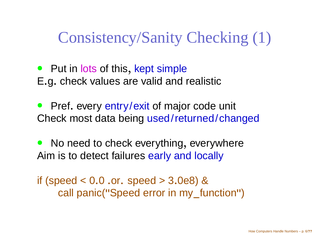## Consistency/Sanity Checking (1)

- Put in lots of this , kept simpleE.g. check values are valid and realistic
- $\bullet$ **•** Pref. every entry/exit of major code unit Check most data being used/returned/changed
- $\bullet$ • No need to check everything, everywhere Aim is to detect failures <mark>early and locally</mark>

if (speed <sup>&</sup>lt; 0.0 .or. speed <sup>&</sup>gt; <sup>3</sup>.0e8) &call panic("Speed error in my\_function")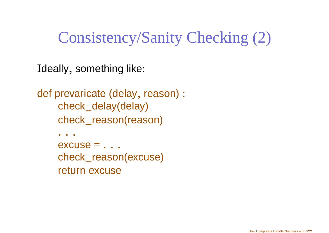## Consistency/Sanity Checking (2)

Ideally, something like:

```
def prevaricate (delay, reason) :
    check_delay(delay)
    check_reason(reason)
```
. . .  $excuse = . . .$ — **. . .** . check\_reason(excuse) return excuse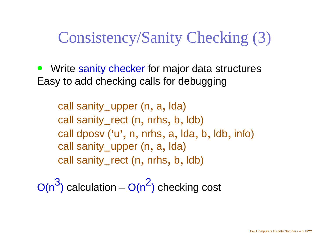## Consistency/Sanity Checking (3)

 $\bullet$ **• Write sanity checker for major data structures** Easy to add checking calls for debugging

call sanity\_upper (n, a, lda) call sanity\_rect (n, nrhs, b, ldb) call dposv ('u', n, nrhs, a, lda, b, ldb, info) call sanity\_upper (n, a, lda) call sanity\_rect (n, nrhs, b, ldb)

O(n3 $\rightarrow$  ) calculation – O(n 2) checking cost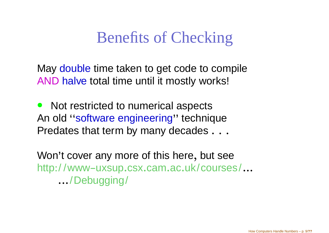## Benefits of Checking

May double time taken to get code to compile AND halve total time until it mostly works!

 $\bullet$  Not restricted to numerical aspects An old ''software engineering'' techniquePredates that term by many decades  $\dots$ 

Won'<sup>t</sup> cover any more of this here, but seehttp://www-uxsup.csx.cam.ac.uk/courses/... .../Debugging/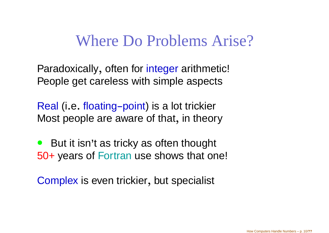#### Where Do Problems Arise?

Paradoxically, often for integer arithmetic! People get careless with simple aspects

Real (i.e. floating–point) is a lot trickier Most people are aware of that , in theory

 $\bullet$  But it isn'<sup>t</sup> as tricky as often thought 50+ years of Fortran use shows that one!

Complex is even trickier , but specialist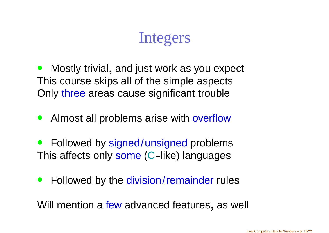## Integers

 $\bullet$  Mostly trivial, and just work as you expect This course skips all of the simple aspectsOnly three areas cause significant trouble

- $\bullet$ **• Almost all problems arise with overflow**
- $\bullet$ **•** Followed by signed/unsigned problems This affects only some (C–like) languages
- $\bullet$ **•** Followed by the division/remainder rules

Will mention a few advanced features, as well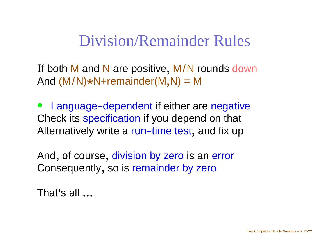#### Division/Remainder Rules

If both M and N are positive<br>And (M/N)+N+remainder(M And (M/N) \*N+remainder(M,N) <sup>=</sup> M, M/N rounds down

 $\bullet$ • Language-dependent if either are negative Check its specification if you depend on that Alternatively write a <mark>run-time test</mark> , and fix up

And, of course, division by zero is an error Consequently, so is remainder by zero

That'<sup>s</sup> all ...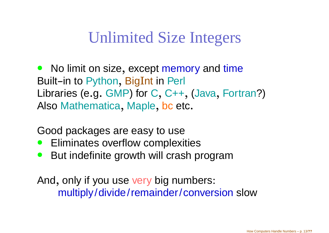## Unlimited Size Integers

• No limit on size, except memory and time Built–in to Python<br>. .. , BigInt in Perl Libraries (e.g. GMP) for C, C++,(Java, Fortran?) Also Mathematica, Maple, bc  $\epsilon$ , Maple, bc etc.

Good packages are easy to use

- **•** Eliminates overflow complexities  $\bullet$
- **But indefinite growth will crash program**  $\bullet$

And, only if you use very big numbers: multiply/divide/remainder/conversion slow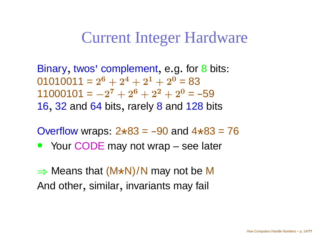#### Current Integer Hardware

Binary, twos' complement, e.g. for 8 bits:  $01010011 = 2<sup>6</sup> + 2<sup>4</sup> + 2<sup>1</sup> + 2<sup>0</sup> = 83$  $11000101 = -2^7 + 2^6 + 2^2 + 2^0 =$  $\overline{K}$  $-2^7 + 2^6 + 2^2 + 2^0 = -59$ 16, 32 and 64 bits, rarely 8 and 128  $\mathsf k$ , rarely 8 and 128 bits

Overflow wraps:  $2*83 = -90$  and  $4*83 = 76$ 

• Your CODE may not wrap – see later

 $\Rightarrow$  Means that  $(M*N)/N$  may not be M<br>And other, similar, invariants may fail. And other, similar , invariants may fail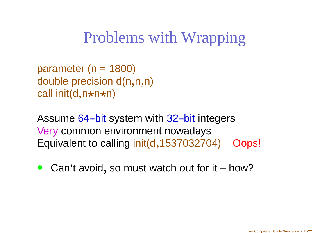## Problems with Wrapping

parameter ( $n = 1800$ ) double precision d(n,n,n)call init(d,n\*n\*n)

Assume 64-bit system with 32-bit integers<br>... Very common environment nowadays Equivalent to calling init(d ,1537032704)–<mark>– Oops</mark>!

 $\bullet$ **Can't avoid, so must watch out for it – how?**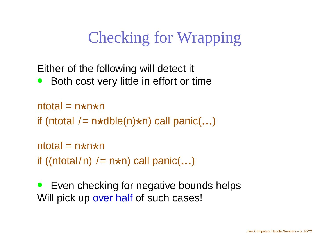## Checking for Wrapping

Either of the following will detect it

 $\bullet$ Both cost very little in effort or time

```
ntotal = n*n*n

if (ntotal /= n*dble(n)*n) call panic(...)
```

```
ntotal = n*n*n

if ((ntotal/n) /= n*n) call panic(...)
```
 $\bullet$  Even checking for negative bounds helpsWill pick up <mark>over half</mark> of such cases!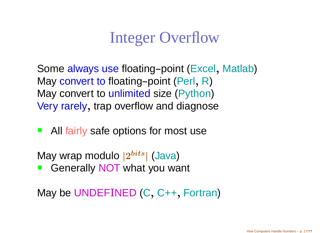## Integer Overflow

Some always use floating-point (Excel , Matlab)May convert to floating-point (Perl ,R)May convert to unlimited size (Python) Very rarely, trap overflow and diagnose

 $\bullet$ • All fairly safe options for most use

May wrap modulo  $|2^{bits}|$  (Java)

**• Generally NOT what you want**  $\bullet$ 

May be UNDEFINED(C, C++, Fortran)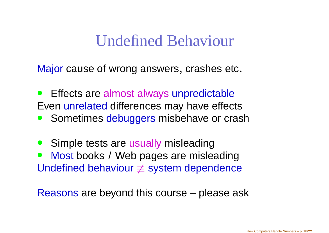#### Undefined Behaviour

Major cause of wrong answers, crashes etc.

- $\bullet$ **•** Effects are almost always unpredictable Even unrelated differences may have effects
- **Sometimes debuggers misbehave or crash**
- $\bullet$ **Simple tests are usually misleading**
- $\bullet$  Most books / Web pages are misleadingUndefined behaviour  $\neq$  system dependence

Reasons are beyond this course – please ask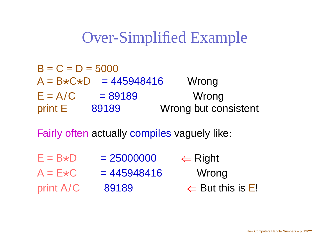## Over-Simplified Example

| $B = C = D = 5000$ |                                     |                      |
|--------------------|-------------------------------------|----------------------|
|                    | $A = B \star C \star D = 445948416$ | Wrong                |
| $E = A/C$          | $= 89189$                           | Wrong                |
| print E            | 89189                               | Wrong but consistent |
|                    |                                     |                      |

Fairly often actually compiles vaguely like:

 $E = B \star D$  $= 25000000$ im Right ≫<br>Mres  $A = E*C = 445948416$  Wrong print A/C <sup>89189</sup>  $\Leftarrow$  But this is E!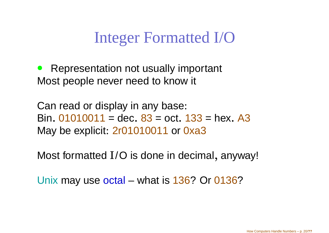## Integer Formatted I/O

 $\bullet$  Representation not usually important Most people never need to know it

Can read or display in any base: Bin. 01010011 = dec. 83 = oct. 133 = hex. A3 May be explicit: 2r01010011 or 0xa3

Most formatted I/O is done in decimal, anyway!

Unix may use <mark>octal</mark> – what is 136? Or 0136?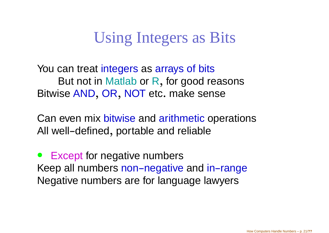## Using Integers as Bits

You can treat integers as arrays of bits But not in Matlab or R, for good reasonsBitwise AND, OR, NOT  $\epsilon$ , OR, NOT etc. make sense

Can even mix bitwise and arithmetic operations All well-defined, portable and reliable

 $\bullet$  Except for negative numbersKeep all numbers non-negative and in-range<br>... Negative numbers are for language lawyers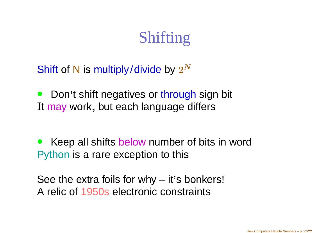## Shifting

Shift of N is multiply/divide by  $2^N$ 

 $\bullet$ **• Don't shift negatives or through sign bit** It <mark>ma</mark>y work, but each language differs

 $\bullet$ • Keep all shifts below number of bits in word Python is <sup>a</sup> rare exception to this

See the extra foils for why – it'<sup>s</sup> bonkers! A relic of 1950s electronic constraints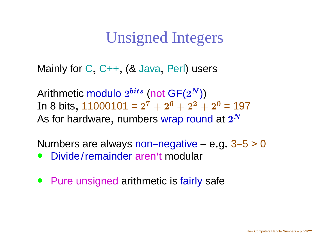## Unsigned Integers

Mainly for C, C++, (& Java , Perl) users

Arithmetic modulo  $2^{bits}$  (not  $\mathsf{GF}(2^N) )$ In 8 bits, 11000101 =  $2^7 + 2^6 + 2^2 + 2^0$  = 197 As for hardware, numbers wrap round at  $2^N$ 

Numbers are always non-negative – e.g.  $3-5 > 0$ 

- $\bullet$ Divide/remainder aren't modular
- Pure unsigned arithmetic is fairly safe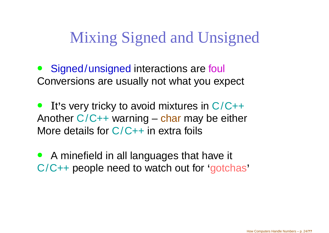## Mixing Signed and Unsigned

- $\bullet$ **Signed/unsigned interactions are foul** Conversions are usually not what you expect
- $\bullet$ Another C/C++ warning – char may be either I<sup>t</sup>'<sup>s</sup> very tricky to avoid mixtures in C/C++More details for C/C++ in extra foils
- $\bullet$  <sup>A</sup> minefield in all languages that have it C/C++ people need to watch out for 'gotchas'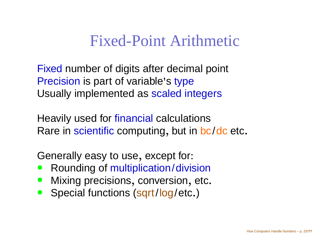#### Fixed-Point Arithmetic

Fixed number of digits after decimal point Precision is part of variable's type Usually implemented as scaled integers

Heavily used for financial calculationsRare in scientific computing, but in <mark>b</mark> , but in <mark>bc/dc</mark> etc.

Generally easy to use, except for:

- **Rounding of multiplication/division**  $\bullet$
- **Mixing precisions, conversion, etc.**  $\bullet$
- Special functions (sqrt/log/etc.)  $\bullet$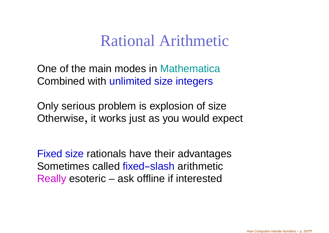#### Rational Arithmetic

One of the main modes in Mathematica Combined with unlimited size integers

Only serious problem is explosion of sizeOtherwise, it works just as you would expect

Fixed size rationals have their advantages Sometimes called fixed-slash arithmetic Really esoteric – ask offline if interested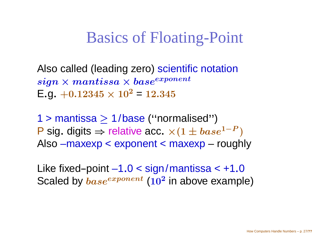## Basics of Floating-Point

Also called (leading zero) scientific notation $sign \times mantissa \times base^{exponent} \ \mathsf{E}_{\mathcal{S}^{0,1}} \times 10^{2} - 12.345$  $\mathsf{E}.$ g.  $+0.12345\times 10^{2}$  $^2$  = 12.345

1 <sup>&</sup>gt; mantissa≥ 1/base (''normalised'')P sig. digits  $\Rightarrow$  relative acc.  $\times(1 \pm base^{1-P})$ <br>Also –maxexp < exponent < maxexp – rough Also –maxexp <sup>&</sup>lt; exponent <sup>&</sup>lt; maxexp – roughly

Like fixed-point  $-1.0 <$  sign/mantissa  $< +1.0$ Scaled by  $base^{exponent}$  (10<sup>2</sup> in above example)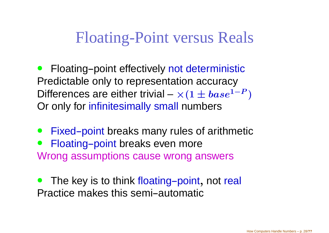## Floating-Point versus Reals

- $\bullet$ **•** Floating-point effectively not deterministic Predictable only to representation accuracyDifferences are either trivial –  $\times(1\pm base^1)$  Or only for infinitesimally small numbers $-\bm{P}$  )
- $\bullet$ Fixed-point breaks many rules of arithmetic
- $\bullet$ Floating-point breaks even more Wrong assumptions cause wrong answers
- $\bullet$ • The key is to think floating-point, not real Practice makes this semi-automatic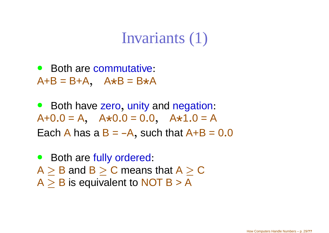#### Invariants (1)

• Both are commutative: A+B <sup>=</sup> B+A, <sup>A</sup>\*<sup>B</sup> <sup>=</sup> <sup>B</sup>\*<sup>A</sup>

 $\bullet$ • Both have zero, unity and negation:  $A+0.0 = A$ ,  $A*0.0 = 0.0$ ,  $A*1.0 = A$ Each A has a  $\mathsf{B} = \mathsf{-A},$  such that  $\mathsf{A}\texttt{+}\mathsf{B} = \mathsf{0.0}$ 

 $\bullet$ • Both are fully ordered:  $A \geq B$  and  $B \geq C$  means that  $A \geq C$ <br> $A \geq B$  is equivalent to NOT B  $\leq$  A  $A \geq B$  is equivalent to NOT B > A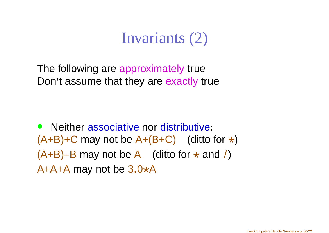#### Invariants (2)

The following are approximately true Don'<sup>t</sup> assume that they are exactly true

• Neither associative nor distributive:  $(A+B)+C$  may not be  $A+(B+C)$  (ditto for  $\star$ )  $(A+B)-B$  may not be A (ditto for  $\star$  and /)<br>A+A+A may not be 3.0\*A A+A+A may not be  $3.0*$ A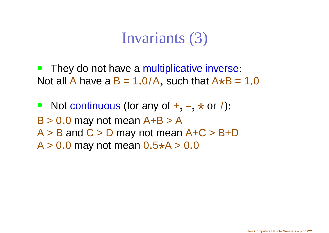#### Invariants (3)

- $\bullet$ • They do not have a multiplicative inverse: Not all A have a  $\mathsf{B}=1.0/\mathsf{A},$  such that  $\mathsf{A} \star \mathsf{B}=1.0$
- $\bullet$ • Not continuous (for any of  $+$ ,  $-$ ,  $*$  or  $/$ ):<br>B  $\geq$  0.0 may not moan  $\Delta$  +B  $\geq$   $\Delta$  $B > 0.0$  may not mean  $A+B > A$  $A > B$  and  $C > D$  may not mean  $A+C > B+D$  $A > 0.0$  may not mean  $0.5*A > 0.0$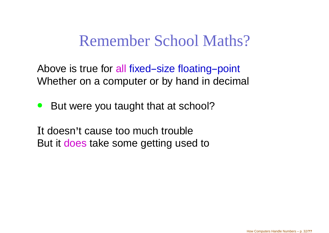#### Remember School Maths?

Above is true for all fixed–size floating–point Whether on <sup>a</sup> computer or by hand in decimal

 $\bullet$ But were you taught that at school?

I<sup>t</sup> doesn'<sup>t</sup> cause too much troubleBut it <mark>does</mark> take some getting used to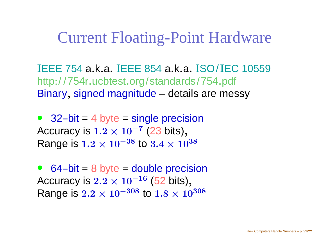#### Current Floating-Point Hardware

IEEE 754a.k.a. <sup>I</sup>EEE <sup>854</sup>a.k.a. <sup>I</sup>SO/ IEC 10559 http:/ /754r.ucbtest.org/standards/754.pdf Binary, signed magnitude – details are messy

 $\bullet$  32-bit = $=$  4 byte == single precision Accuracy is  $1.2\times10^{-7}$ <br>Perso is 1.2  $\times$  10=38 to Range is  $1.2\times10^{-38}$  to  $3.4\times10^{-3}$  $\frac{7}{23}$  bits) , $\times 10^{38}$ 

 $\bullet$  $\bullet$  64-bit = <sup>8</sup> byte == double precision Accuracy is  $2.2\times10^{-16}$ <br>Perso is 3.3  $\times$  10=308 to Range is  $2.2 \times 10^{-308}$  to  $1.8 \times 10^{-308}$  $\frac{6}{52}$  bits) , $\times$  10<sup>308</sup>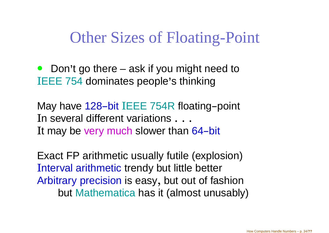## Other Sizes of Floating-Point

• Don't go there – ask if you might need to IEEE 754 dominates people'<sup>s</sup> thinking

May have 128-bit IEEE 754R floating-point<br>In acusual different variations I<sup>n</sup> several different variations . . . It may be very much slower than 64-bit

Exact FP arithmetic usually futile (explosion)Interval arithmetic trendy but little better Arbitrary precision is easy , but out of fashionbut Mathematica has it (almost unusably)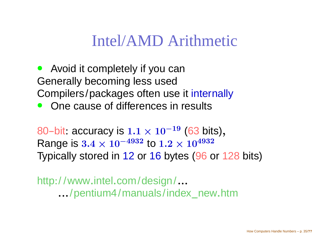#### Intel/AMD Arithmetic

- Avoid it completely if you can Generally becoming less usedCompilers/packages often use it internally
- $\bullet$ One cause of differences in results

80-bit: accuracy is 1.1  $\times$  10 $^{-19}$ <br>Penge is 3.4  $\times$  10−4932 to 1.9  $\times$ Range is  $3.4\times10^{-4932}$  to  $1.2\times$  $\frac{9}{100}$  (63 bits) , Typically stored in <sup>12</sup> or <sup>16</sup> bytes (96 or <sup>128</sup> bits)  $\times 10^{4932}$ 

http:/ /www.intel.com/design/....../pentium4/manuals/index new.htm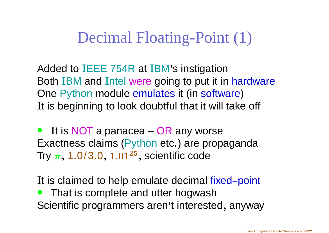## Decimal Floating-Point (1)

Added to IEEE 754R at IBM's instigation<br>Beth IBM and Intel wave asing to put it in Both IBM and Intel were going to put it in hardware<br>One Bythen module emulates it (in seftware) One Python module emulates it (in software )I<sup>t</sup> is beginning to look doubtful that it will take off

• It is NOT a panacea – OR any worse Exactness claims (Python etc.) are propaganda Try  $\pi,$  1.0/3.0,  $1.01^{25},$  scientific code

It is claimed to help emulate decimal fixed-point  $\bullet$  That is complete and utter hogwashScientific programmers aren'<sup>t</sup> interested, anyway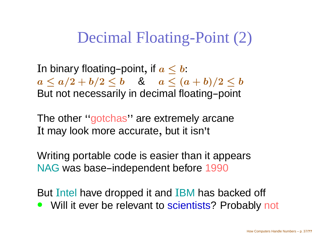### Decimal Floating-Point (2)

In binary floating–point, if  $a\leq b$ :  $a \leq a/2 + b/2 \leq b$ <br>But not poopposaily in dooimal floating point  $\blacksquare$  and a set of the set of the set of the set of the set of the set of the set of the set of the set of the set of the set of the set of the set of the set of the set of the set of the set of the set of the set of the  $\overline{N}$  in docim flor But not necessarily in decimal floating–point

The other ''gotchas'' are extremely arcane I<sup>t</sup> may look more accurate, but it isn't

Writing portable code is easier than it appearsNAG was base-independent before 1990

But Intel have dropped it and IBM has backed off<br>• Will it over he relevent to scientists? Prehably to Will it ever be relevant to scientists? Probably not  $\bullet$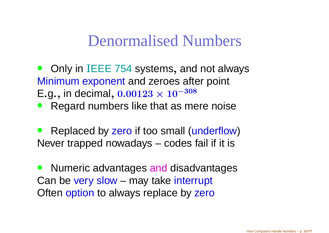#### Denormalised Numbers

- Only in IEEE 754 systems Minimum exponent and zeroes after point , and not always $\mathsf{E}.\mathsf{g}$ ., in decimal,  $0.00123\times10^{-308}$
- **Regard numbers like that as mere noise**  $\bullet$
- $\bullet$ • Replaced by zero if too small (underflow) Never trapped nowadays – codes fail if it is

 $\bullet$ **• Numeric advantages and disadvantages** Can be very slow – may take interrupt<br>Oftan antique to olympus replace by Fars Often option to always replace by z<mark>ero</mark>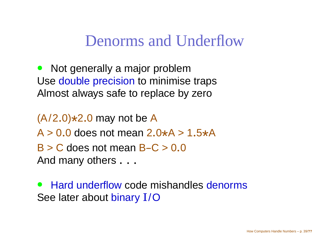Denorms and Underflow

 $\bullet$  Not generally <sup>a</sup> major problemUse double precision to minimise traps Almost always safe to replace by zero

(A/2.0)\*2.0 may not be A $A > 0.0$  does not mean  $2.0*A > 1.5*A$  $B > C$  does not mean  $B-C > 0.0$ And many others  $\dots$ 

 $\bullet$ • Hard underflow code mishandles denorms See later about binary I/O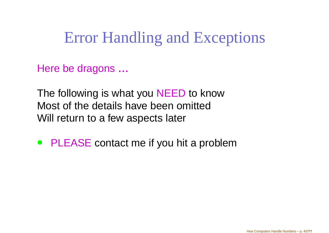## Error Handling and Exceptions

Here be dragons ...

The following is what you NEED to know<br>Meet of the details have heen exitted Most of the details have been omittedWill return to <sup>a</sup> few aspects later

• PLEASE contact me if you hit <sup>a</sup> problem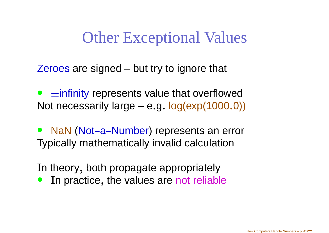## Other Exceptional Values

Zeroes are signed – but try to ignore that

 $\bullet$  Not necessarily large – <sup>e</sup>.g. log(exp(1000.0)) ±infinity represents value that overflowed

 $\bullet$ • NaN (Not-a-Number) represents an error Typically mathematically invalid calculation

I<sup>n</sup> theory, both propagate appropriately

In practice, the values are <mark>not reliable</mark>  $\bullet$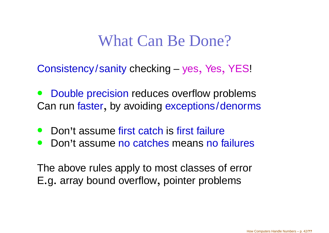#### What Can Be Done?

Consistency/sanity checking – yes , Yes, YES!

- $\bullet$ **• Double precision reduces overflow problems** Can run <mark>faster</mark> , by avoiding exceptions/denorms
- $\bullet$ • Don't assume first catch is first failure
- $\bullet$ **• Don't assume no catches means no failures**

The above rules apply to most classes of errorE.g. array bound overflow, pointer problems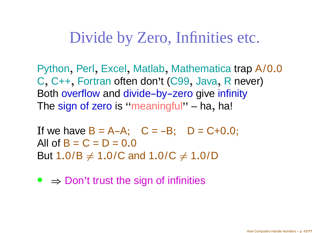#### Divide by Zero, Infinities etc.

Python, Perl , Excel , Matlab, Mathematica trap A/0.<sup>0</sup> C, C++, Fortran often don'<sup>t</sup> (C99 Both overflow and divide-by-zero give infinity<br>The size of raza is (free seisefull) she had , Java, R never)<br>Delive infinity The sign of zero is ''meaningful'' – ha , ha!

If we have  $B = A-A;$   $C = -B;$   $D = C+0.0;$ All of  $B = C = D = 0.0$ But 1.0/B  $\neq$  1.0/C and 1.0/C  $\neq$  1.0/D

•  $\Rightarrow$  Don't trust the sign of infinities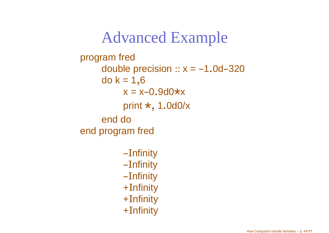#### Advanced Exampleprogram freddouble precision  $:: x = -1.0$ d $-320$ do k <sup>=</sup> 1,6 $x = x-0.9d0 \star x$ print  $\star$ ,1.0d0/xend do end program fred--Infinity $-$ Infinity $-$ Infinity

 $+\mathrm{Infinity}$ 

 $+$ Infinity

 $+$ Infinity

How Computers Handle Numbers – p. 44/**??**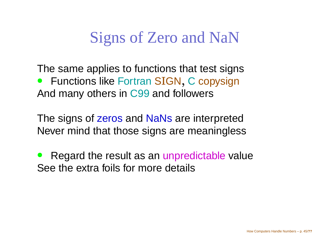## Signs of Zero and NaN

The same applies to functions that test signs• Functions like Fortran SIGN, C copysign  $\bullet$ And many others in C99 and followers

The signs of zeros and NaNs are interpreted Never mind that those signs are meaningless

 $\bullet$ • Regard the result as an unpredictable value See the extra foils for more details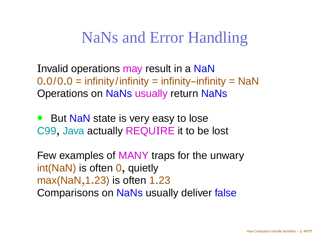#### NaNs and Error Handling

Invalid operations may result in <sup>a</sup> NaN $0.0/0.0 =$  infinity/infinity  $=$  infinity–infinity  $=$  NaN  $\,$ Operations on NaNs usually return NaNs

 $\bullet$ • But NaN state is very easy to lose C99, Java actually REQUIRE it to be lost

Few examples of MANY traps for the unwary<br>in the National frace Occurs the int(NaN) is often  $\mathsf{0},$  quietly  $\textsf{max}(\textsf{NaN},1.23)$  is often 1.23 Comparisons on NaNs usually deliver false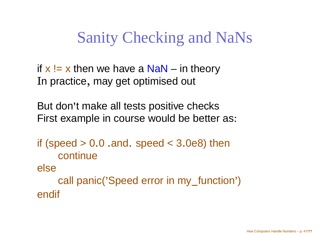Sanity Checking and NaNs

if **x** != x then we have a NaN – in theory I<sup>n</sup> practice, may get optimised out

But don'<sup>t</sup> make all tests positive checksFirst example in course would be better as:

if (speed  $> 0.0$  .and. speed  $< 3.0$ e8) then continueelsecall panic('Speed error in my\_function') endif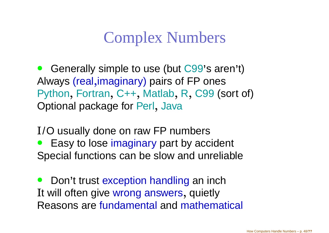## Complex Numbers

 $\bullet$  Generally simple to use (but C99'<sup>s</sup> aren't) Always (real ,imaginary) pairs of FP ones Python, Fortran, C++, Matlab,R, C99 (sort of) Optional package for Perl , Java

I/O usually done on raw FP numbers

• Easy to lose imaginary part by accident Special functions can be slow and unreliable

 $\bullet$ **•** Don't trust exception handling an inch I<sup>t</sup> will often give wrong answers , quietlyReasons are fundamental and mathematical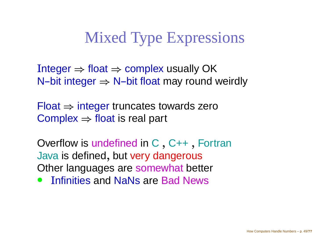## Mixed Type Expressions

Integer ⇒ float ⇒ complex usually OK<br>N–bit integer ⇒ N–bit float may round v N–bit integer  $\Rightarrow$  N–bit float may round weirdly

Float ⇒ integer truncates towards zero<br>Complex ⇒ float is real part  $\mathsf{Complex} \Rightarrow \mathsf{float}$  is real part

Overflow is undefined in C, C++, FortranJava is defined, but very dange Other languages are somewhat better , but very dangerous

 $\bullet$ Infinities and NaNs are Bad News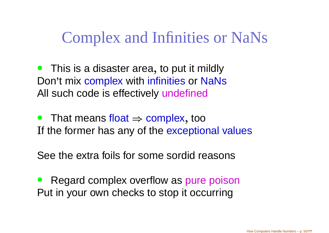## Complex and Infinities or NaNs

- $\bullet$ **•** This is a disaster area, to put it mildly Don'<sup>t</sup> mix complex with infinities or NaNs All such code is effectively <mark>undefined</mark>
- $\bullet$ • That means float  $\Rightarrow$  complex<br>If the former has any of the exce , tooIf the former has any of the exceptional values

See the extra foils for some sordid reasons

 $\bullet$ • Regard complex overflow as pure poison Put in your own checks to stop it occurring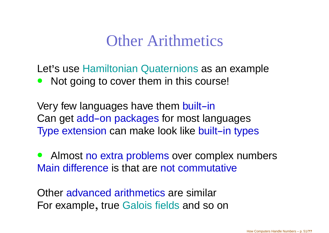#### Other Arithmetics

Let'<sup>s</sup> use Hamiltonian Quaternions as an example  $\bullet$ Not going to cover them in this course!

Very few languages have them built-in<br>Can get add, en packages fer most lan Can get add-on packages for most languages Type extension can make look like built-in types

 $\bullet$ **• Almost no extra problems over complex numbers** Main difference is that are not commutative

Other advanced arithmetics are similar For example, true Galois fields and so on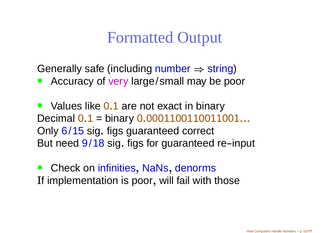#### Formatted Output

Generally safe (including number ⇒ string)<br>● Accuracy of very large/small may be po

• Accuracy of very large/small may be poor

• Values like 0.1 are not exact in binary Decimal0.1 <sup>=</sup> binary 0.0001100110011001...Only 6/15 sig. figs guaranteed correct But need <mark>9/18</mark> sig. figs for guaranteed re–input

 $\bullet$ **•** Check on infinities , NaNs, denormsIf implementation is poor, will fail with those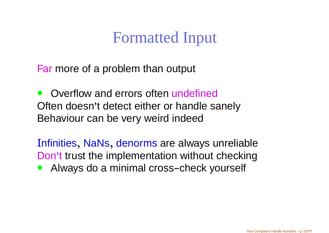## Formatted Input

Far more of <sup>a</sup> problem than output

 $\bullet$ • Overflow and errors often undefined Often doesn'<sup>t</sup> detect either or handle sanelyBehaviour can be very weird indeed

Infinities, NaNs, denorms are always unreliableDon't trust the implementation without checking

• Always do a minimal cross-check yourself  $\bullet$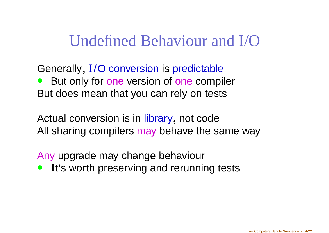#### Undefined Behaviour and I/O

Generally,I/O conversion is predictable **But only for one version of one compiler**  $\bullet$ But does mean that you can rely on tests

Actual conversion is in library , not codeAll sharing compilers <mark>may</mark> behave the same way

Any upgrade may change behaviour

**• It's worth preserving and rerunning tests**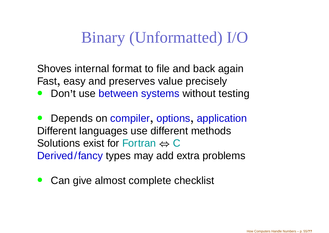## Binary (Unformatted) I/O

Shoves internal format to file and back againFast, easy and preserves value precisely

**• Don't use between systems without testing**  $\bullet$ 

 $\bullet$ • Depends on compiler , options, application Different languages use different methodsSolutions exist for Fortran  $\Leftrightarrow$  C Derived/fancy types may add extra problems

 $\bullet$ Can give almost complete checklist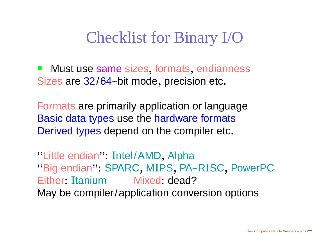## Checklist for Binary I/O

 $\bullet$ **•** Must use same sizes , formats, endiannessSizes are 32/64-bit mode, precision etc.

Formats are primarily application or languageBasic data types use the hardware formats Derived types depend on the compiler etc.

''Little endian'': Intel/AMD, Alpha"Big endian": SPARC, MIPS, PA-RISC, PowerPC Either: Itanium Mixed: dead? May be compiler/application conversion options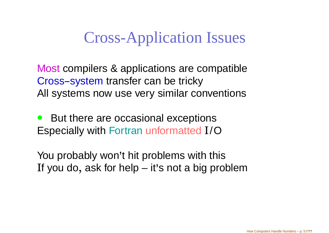## Cross-Application Issues

Most compilers & applications are compatibleCross-system transfer can be tricky<br>All systems now use yery similar so All systems now use very similar conventions

 $\bullet$  But there are occasional exceptionsEspecially with Fortran unformatted I/O

You probably won'<sup>t</sup> hit problems with thisIf you do, ask for help – it'<sup>s</sup> not <sup>a</sup> big problem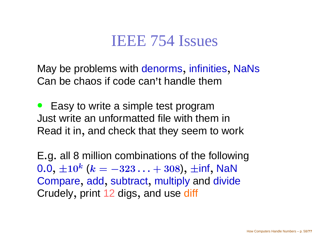#### IEEE 754 Issues

May be problems with denorms<br>C , infinities, NaNsCan be chaos if code can'<sup>t</sup> handle them

 $\bullet$  Easy to write <sup>a</sup> simple test programJust write an unformatted file with them inRead it in, and check that they seem to work

E.g. all <sup>8</sup> million combinations of the following $0.0,\pm 10^k$ Compare, add, subtract, multiply and divide  $^k$   $(k=-323\ldots+308),\,\pm$ inf, NaN Crudely, print <sup>12</sup> digs , and use <mark>diff</mark>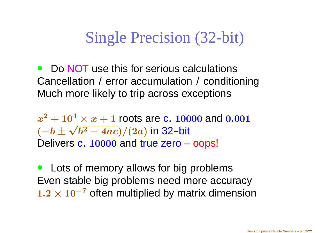## Single Precision (32-bit)

• Do NOT use this for serious calculations Cancellation / error accumulation / conditioningMuch more likely to trip across exceptions

 $\pmb{\mathcal{X}}$   $^2+10^4$  $x^4 \times x + 1$  roots are c. 10000 and 0.001 ( $-b \pm \sqrt{b^2}$  $(-4ac)/(2a)$  in 32-bit Delivers c. 10000 and true zero –<mark>- oops!</mark>

 $\bullet$  Lots of memory allows for big problems Even stable big problems need more accuracy $1.2 \times 10^{-7}$  often multiplied by matrix dimension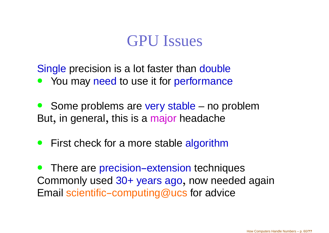#### GPU Issues

Single precision is a lot faster than double

- $\bullet$ • You may need to use it for performance
- $\bullet$ **Some problems are very stable – no problem** But, in general, this is a <mark>major h</mark>eadache
- **•** First check for a more stable algorithm

 $\bullet$ • There are precision-extension techniques Commonly used 30+ years ago, now needed again Email scientific-computing@ucs for advice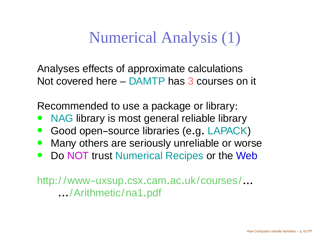Numerical Analysis (1)

Analyses effects of approximate calculationsNot covered here – DAMTP has 3 courses on it

Recommended to use <sup>a</sup> package or library:

- $\bullet$ • NAG library is most general reliable library
- $\bullet$ **• Good open-source libraries (e.g. LAPACK)**
- **Many others are seriously unreliable or worse**  $\bullet$
- Do NOT trust Numerical Recipes or the Web  $\bullet$

http://www-uxsup.csx.cam.ac.uk/courses/... .../Arithmetic/na1.pdf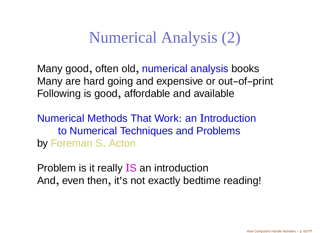Numerical Analysis (2)

Many good, often old, numerical analysis books Many are hard going and expensive or out-of-print Following is good, affordable and available

Numerical Methods That Work: an Introduction to Numerical Techniques and Problemsby Foreman <sup>S</sup>. Acton

Problem is it really IS an introduction And, even then, it'<sup>s</sup> not exactly bedtime reading!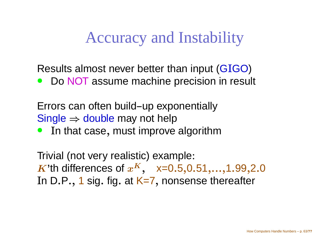Accuracy and Instability

Results almost never better than input (GIGO)

. . . . . .  $\bullet$ • Do NOT assume machine precision in result

Errors can often build-up exponentially Single  $\Rightarrow$  double may not help<br>● Tn that case, must improve

 I<sup>n</sup> that case, must improve algorithm $\bullet$ 

Trivial (not very realistic) example:  $\boldsymbol{K}$ 'th differences of  $\boldsymbol{x}$ In D.P., 1 sig. fig. at K=7, nonsense thereal  $\boldsymbol{K}$ , x=0.<sup>5</sup>,0.51,...,1.99,2.0, nonsense thereafter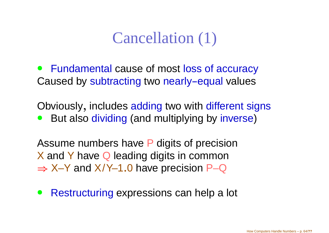## Cancellation (1)

• Fundamental cause of most loss of accuracyCaused by subtracting two nearly-equal values

Obviously, includes adding two with different signs ● But also dividing (and multiplying by inverse)  $\bullet$ 

Assume numbers have P digits of precision X and Y have Q leading digits in common<br>X X X and Y/Y 4 0 have presision B Q  $\Rightarrow$  X–Y and X/Y–1.0 have precision P–Q

 $\bullet$ **• Restructuring expressions can help a lot**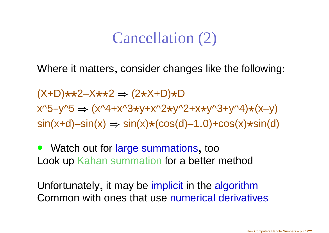#### Cancellation (2)

Where it matters, consider changes like the following:

(X+D)\*\*2–X\*\*2⇒ (2 \*X+D)\*D  $x^5-y^5 \Rightarrow (x^4+x^3+y+x^2+y^2+y^3+y^3+y^4)*(x-y)$  $\textsf{sin}(\textsf{x}{+}\textsf{d}){-}\textsf{sin}(\textsf{x}) \Rightarrow \textsf{sin}(\textsf{x}){\star}(\textsf{cos}(\textsf{d}){-}1.0){+}\textsf{cos}(\textsf{x}){\star}\textsf{sin}(\textsf{d})$ 

 $\bullet$ • Watch out for large summations, too Look up Kahan summation for a better method

Unfortunately, it may be implicit in the algorithmCommon with ones that use numerical derivatives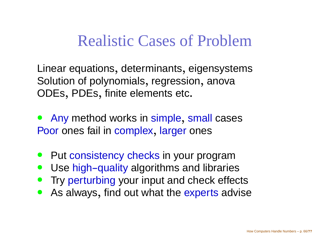#### Realistic Cases of Problem

Linear equations, determinants, eigensystems Solution of polynomials, regression, anovaODEs, PDEs, finite elements etc.

 $\bullet$ **• Any method works in simple** , small casesPoor ones fail in complex , larger ones

- $\bullet$ **• Put consistency checks in your program**
- $\bullet$ • Use high-quality algorithms and libraries
- $\bullet$ **• Try perturbing your input and check effects**
- $\bullet$ **• As always, find out what the experts advise**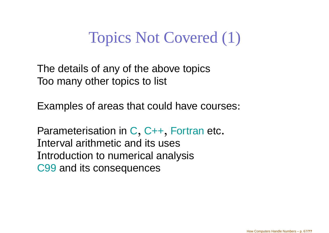## Topics Not Covered (1)

The details of any of the above topicsToo many other topics to list

Examples of areas that could have courses:

Parameterisation in C, C++, Fortran etc. Interval arithmetic and its uses Introduction to numerical analysisC99 and its consequences